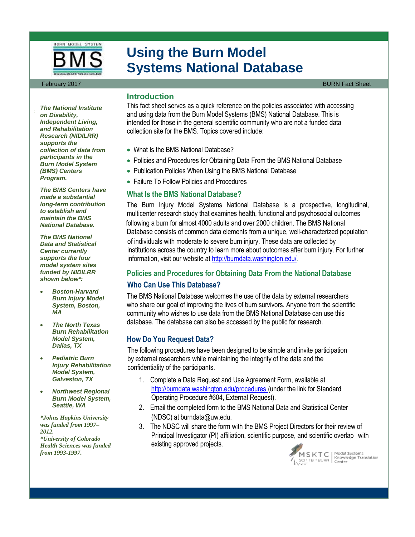

# **Using the Burn Model Systems National Database**

#### February 2017 **BURN Fact Sheet** Sheet Sheet Sheet Sheet Sheet Sheet Sheet Sheet Sheet Sheet Sheet Sheet Sheet Sheet

## **Introduction**

This fact sheet serves as a quick reference on the policies associated with accessing and using data from the Burn Model Systems (BMS) National Database. This is intended for those in the general scientific community who are not a funded data collection site for the BMS. Topics covered include:

- What Is the BMS National Database?
- Policies and Procedures for Obtaining Data From the BMS National Database
- Publication Policies When Using the BMS National Database
- Failure To Follow Policies and Procedures

#### **What Is the BMS National Database?**

The Burn Injury Model Systems National Database is a prospective, longitudinal, multicenter research study that examines health, functional and psychosocial outcomes following a burn for almost 4000 adults and over 2000 children. The BMS National Database consists of common data elements from a unique, well-characterized population of individuals with moderate to severe burn injury. These data are collected by institutions across the country to learn more about outcomes after burn injury. For further information, visit our website at http://burndata.washington.edu/*.*

### **Policies and Procedures for Obtaining Data From the National Database**

#### **Who Can Use This Database?**

The BMS National Database welcomes the use of the data by external researchers who share our goal of improving the lives of burn survivors. Anyone from the scientific community who wishes to use data from the BMS National Database can use this database. The database can also be accessed by the public for research.

### **How Do You Request Data?**

The following procedures have been designed to be simple and invite participation by external researchers while maintaining the integrity of the data and the confidentiality of the participants.

- 1. Complete a Data Request and Use Agreement Form, available at http://burndata.washington.edu/procedures (under the link for Standard Operating Procedure #604, External Request).
- 2. Email the completed form to the BMS National Data and Statistical Center (NDSC) at burndata@uw.edu.
- 3. The NDSC will share the form with the BMS Project Directors for their review of Principal Investigator (PI) affiliation, scientific purpose, and scientific overlap with existing approved projects.



 $\begin{array}{l} \textsf{M S K T C} \\ \textsf{SCI}^\textsf{T} \textsf{IBI} \textsf{-BURN} \end{array} \big| \begin{array}{l} \textsf{Model Systems} \\ \textsf{Knowledge Translation} \\ \textsf{Center} \end{array} \big|$ 

*The National Institute on Disability, Independent Living, and Rehabilitation Research (NIDILRR) supports the collection of data from participants in the Burn Model System (BMS) Centers Program.* 

*,*

*The BMS Centers have made a substantial long-term contribution to establish and maintain the BMS National Database.*

*The BMS National Data and Statistical Center currently supports the four model system sites funded by NIDILRR shown below\*:*

- *Boston-Harvard Burn Injury Model System, Boston, MA*
- *The North Texas Burn Rehabilitation Model System, Dallas, TX*
- *Pediatric Burn Injury Rehabilitation Model System, Galveston, TX*
- *Northwest Regional Burn Model System, Seattle, WA*

*\*Johns Hopkins University was funded from 1997– 2012. \*University of Colorado Health Sciences was funded from 1993-1997.*